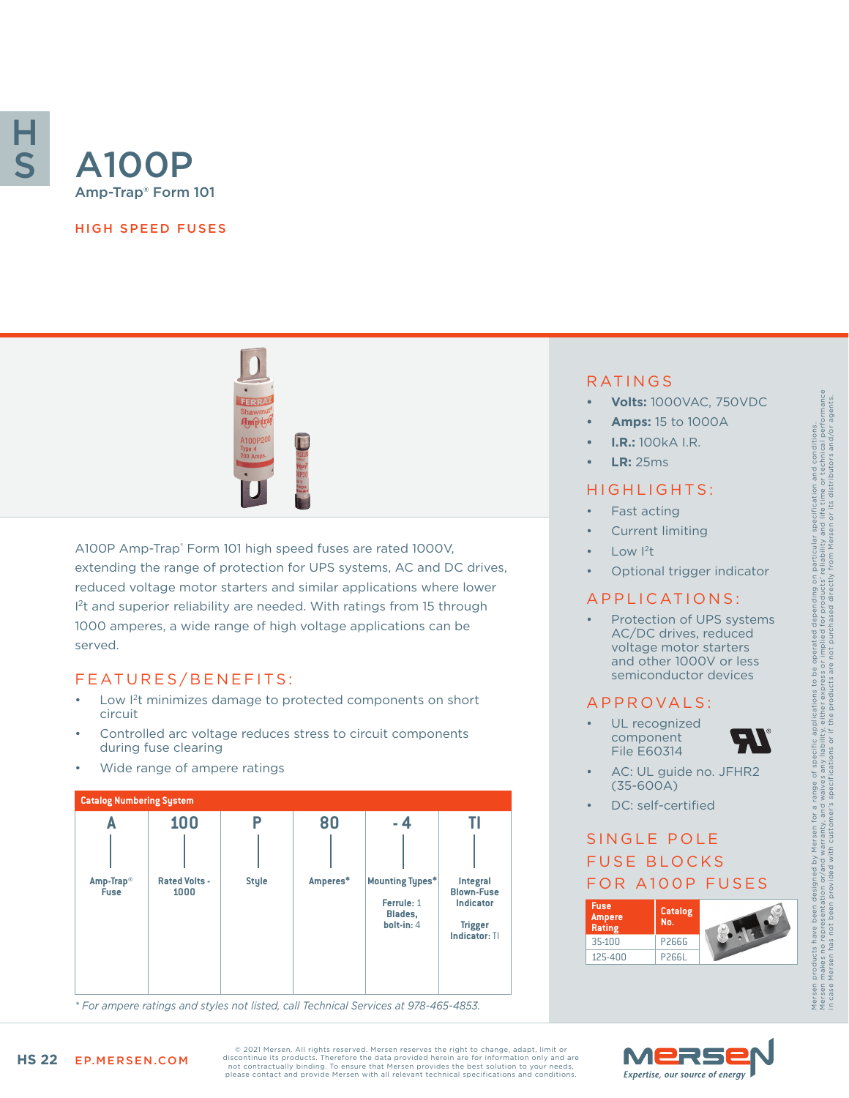

# Amp-Trap® Form 101

#### HIGH SPEED FUSES



A100P Amp-Trap® Form 101 high speed fuses are rated 1000V, extending the range of protection for UPS systems, AC and DC drives, reduced voltage motor starters and similar applications where lower <sup>2</sup>t and superior reliability are needed. With ratings from 15 through 1000 amperes, a wide range of high voltage applications can be served.

## FEATURES/BENEFITS:

- Low I<sup>2</sup>t minimizes damage to protected components on short circuit
- Controlled arc voltage reduces stress to circuit components during fuse clearing
- Wide range of ampere ratings



*\* For ampere ratings and styles not listed, call Technical Services at 978-465-4853.*

## RATINGS

- **• Volts:** 1000VAC, 750VDC
- **• Amps:** 15 to 1000A
- **• I.R.:** 100kA I.R.
- **• LR:** 25ms

#### HIGHLIGHTS:

- Fast acting
- Current limiting
- Low <sup>2</sup>t
- Optional trigger indicator

### APPLICATIONS:

Protection of UPS systems AC/DC drives, reduced voltage motor starters and other 1000V or less semiconductor devices

#### A P P R OVA L S :

UL recognized component File E60314



Mersen products have been designed by Mersen for a range of specific applications to be operated depending on particular specification and conditions. Mersen makes no representation or/and warranty, and waives any liability, either express or implied for products' reliability and life time or technical performance in case Mersen has not been provided with customer's specifications or if the products are not purchased directly from Mersen or its distributors and/or agents.

scification and conditions.<br>life time or technical performance<br>or its distributors and/or agents.

spe<br>and<br>sen ticular<br>ability a<br>m Mers

ng on<br>ucts'<sub>r</sub><br>rectly ă a

- AC: UL guide no. JFHR2 (35-600A)
- DC: self-certified

# SINGLE POLE FUSE BLOCKS FOR A100P FUSES